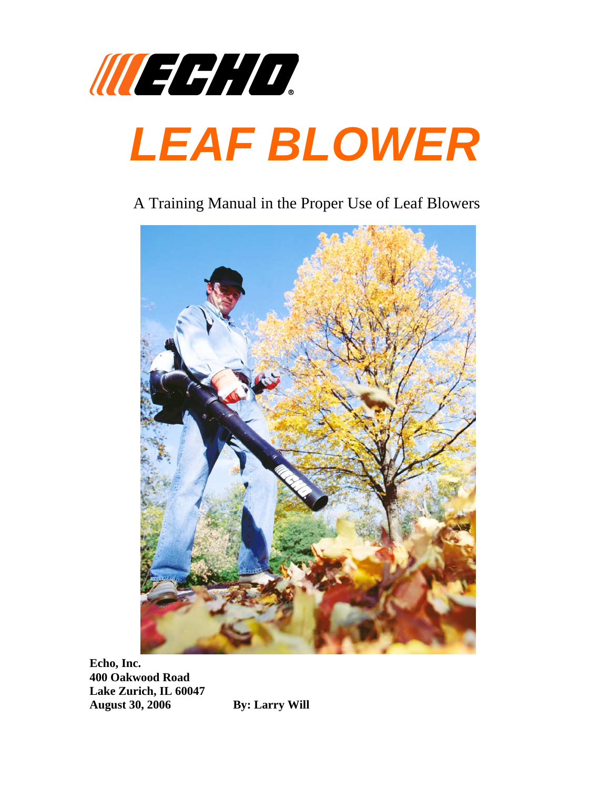

## A Training Manual in the Proper Use of Leaf Blowers



**Echo, Inc. 400 Oakwood Road Lake Zurich, IL 60047 August 30, 2006 By: Larry Will**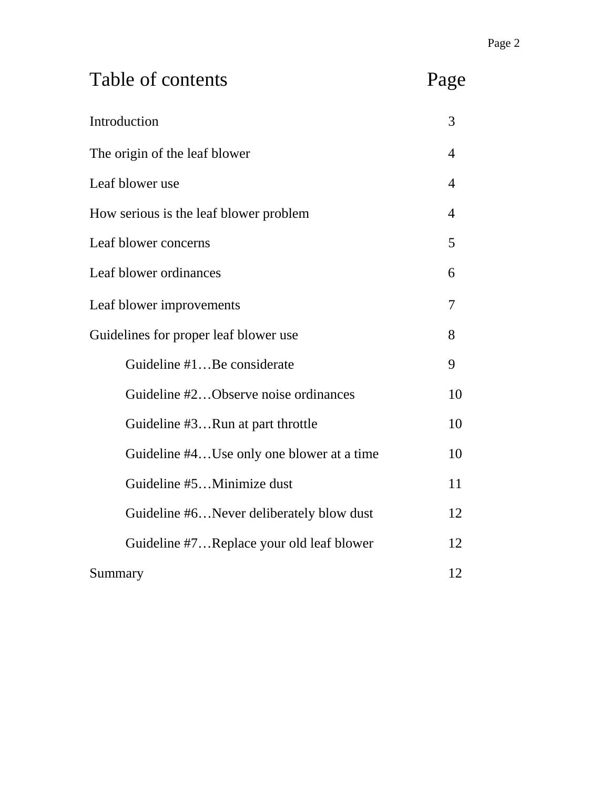| Table of contents                         | Page |
|-------------------------------------------|------|
| Introduction                              | 3    |
| The origin of the leaf blower             | 4    |
| Leaf blower use                           | 4    |
| How serious is the leaf blower problem    |      |
| Leaf blower concerns                      |      |
| Leaf blower ordinances                    |      |
| Leaf blower improvements                  |      |
| Guidelines for proper leaf blower use     |      |
| Guideline #1Be considerate                | 9    |
| Guideline #2Observe noise ordinances      | 10   |
| Guideline #3Run at part throttle          | 10   |
| Guideline #4Use only one blower at a time | 10   |
| Guideline #5Minimize dust                 | 11   |
| Guideline #6Never deliberately blow dust  | 12   |
| Guideline #7Replace your old leaf blower  | 12   |
| Summary                                   |      |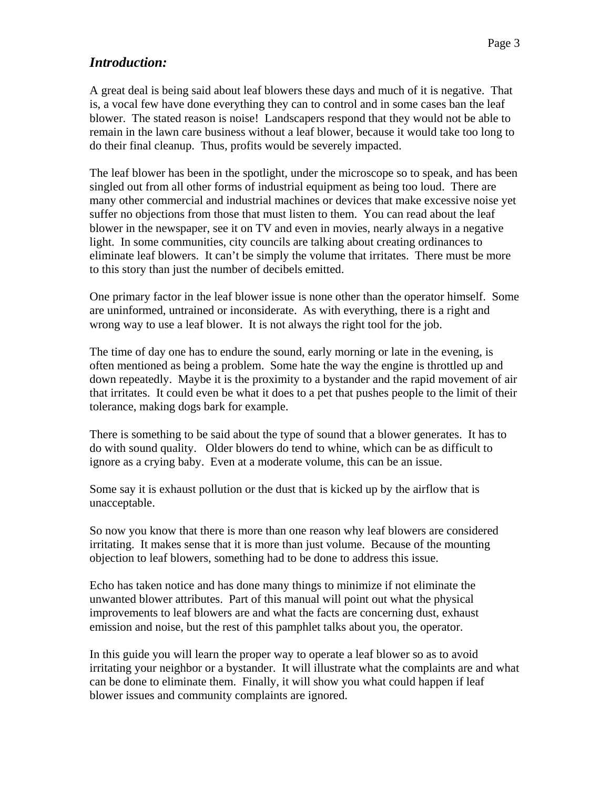#### *Introduction:*

A great deal is being said about leaf blowers these days and much of it is negative. That is, a vocal few have done everything they can to control and in some cases ban the leaf blower. The stated reason is noise! Landscapers respond that they would not be able to remain in the lawn care business without a leaf blower, because it would take too long to do their final cleanup. Thus, profits would be severely impacted.

The leaf blower has been in the spotlight, under the microscope so to speak, and has been singled out from all other forms of industrial equipment as being too loud. There are many other commercial and industrial machines or devices that make excessive noise yet suffer no objections from those that must listen to them. You can read about the leaf blower in the newspaper, see it on TV and even in movies, nearly always in a negative light. In some communities, city councils are talking about creating ordinances to eliminate leaf blowers. It can't be simply the volume that irritates. There must be more to this story than just the number of decibels emitted.

One primary factor in the leaf blower issue is none other than the operator himself. Some are uninformed, untrained or inconsiderate. As with everything, there is a right and wrong way to use a leaf blower. It is not always the right tool for the job.

The time of day one has to endure the sound, early morning or late in the evening, is often mentioned as being a problem. Some hate the way the engine is throttled up and down repeatedly. Maybe it is the proximity to a bystander and the rapid movement of air that irritates. It could even be what it does to a pet that pushes people to the limit of their tolerance, making dogs bark for example.

There is something to be said about the type of sound that a blower generates. It has to do with sound quality. Older blowers do tend to whine, which can be as difficult to ignore as a crying baby. Even at a moderate volume, this can be an issue.

Some say it is exhaust pollution or the dust that is kicked up by the airflow that is unacceptable.

So now you know that there is more than one reason why leaf blowers are considered irritating. It makes sense that it is more than just volume. Because of the mounting objection to leaf blowers, something had to be done to address this issue.

Echo has taken notice and has done many things to minimize if not eliminate the unwanted blower attributes. Part of this manual will point out what the physical improvements to leaf blowers are and what the facts are concerning dust, exhaust emission and noise, but the rest of this pamphlet talks about you, the operator.

In this guide you will learn the proper way to operate a leaf blower so as to avoid irritating your neighbor or a bystander. It will illustrate what the complaints are and what can be done to eliminate them. Finally, it will show you what could happen if leaf blower issues and community complaints are ignored.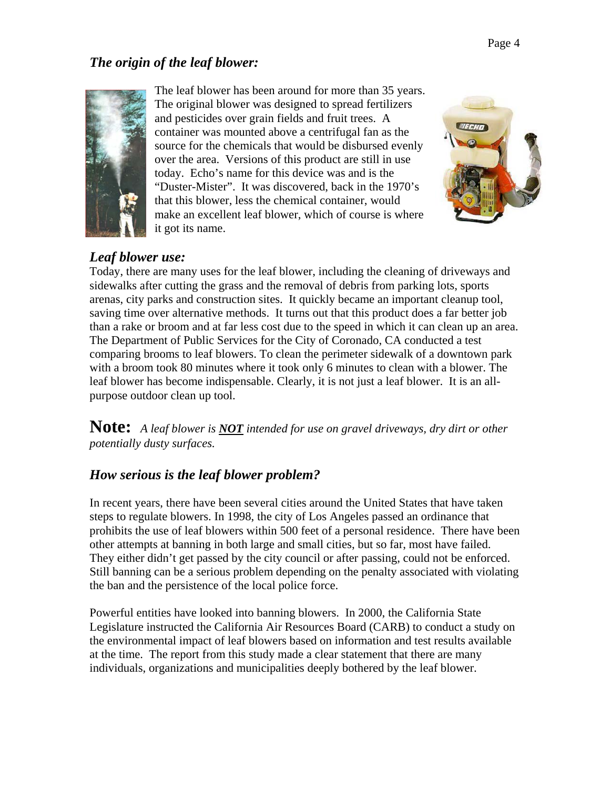## *The origin of the leaf blower:*



The leaf blower has been around for more than 35 y ears. The original blower was designed to spread fertilizers and pesticides over grain fields and fruit trees. A container was mounted above a centrifugal fan as the source for the chemicals that would be disbursed evenly over the area. Versions of this product are still in use today. Echo's name for this device was and is the "Duster-Mister". It was discovered, back in the 1970's that this blower, less the chemical container, would make an excellent leaf blower, which of course is where it got its name.



## *Leaf blower use:*

Today, there are many uses for the leaf blower, including the cleaning of driveways and sidewalks after cutting the grass and the removal of debris from parking lots, sports arenas, city parks and construction sites. It quickly became an important cleanup tool, saving time over alternative methods. It turns out that this product does a far better job than a rake or broom and at far less cost due to the speed in which it can clean up an area. The Department of Public Services for the City of Coronado, CA conducted a test comparing brooms to leaf blowers. To clean the perimeter sidewalk of a downtown park with a broom took 80 minutes where it took only 6 minutes to clean with a blower. The leaf blower has become indispensable. Clearly, it is not just a leaf blower. It is an allpurpose outdoor clean up tool.

**Note:** *A leaf blower is NOT intended for use on gravel driveways, dry dirt or other potentially dusty surfaces.* 

### *How serious is the leaf blower problem?*

In recent years, there have been several cities around the United States that have taken steps to regulate blowers. In 1998, the city of Los Angeles passed an ordinance that prohibits the use of leaf blowers within 500 feet of a personal residence. There have been other attempts at banning in both large and small cities, but so far, most have failed. They either didn't get passed by the city council or after passing, could not be enforced. Still banning can be a serious problem depending on the penalty associated with violating the ban and the persistence of the local police force.

Powerful entities have looked into banning blowers. In 2000, the California State Legislature instructed the California Air Resources Board (CARB) to conduct a study on the environmental impact of leaf blowers based on information and test results available at the time. The report from this study made a clear statement that there are many individuals, organizations and municipalities deeply bothered by the leaf blower.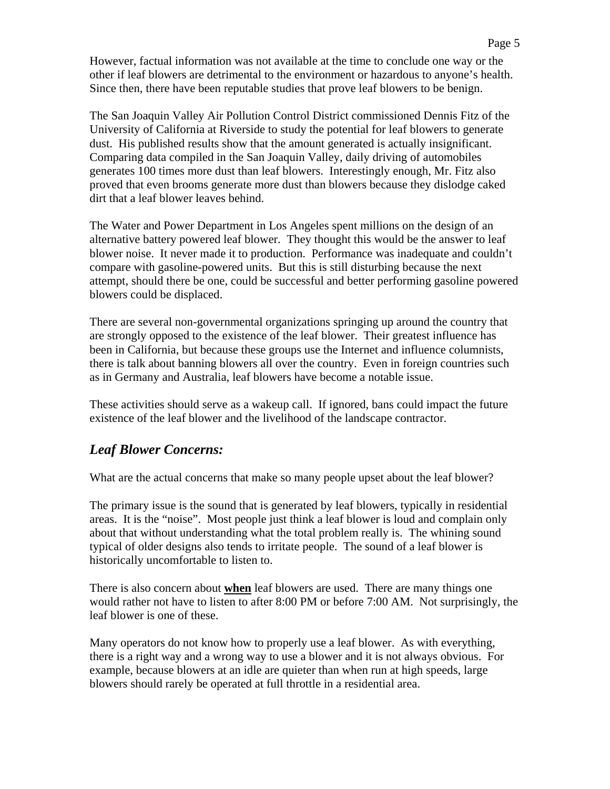However, factual information was not available at the time to conclude one way or the other if leaf blowers are detrimental to the environment or hazardous to anyone's health. Since then, there have been reputable studies that prove leaf blowers to be benign.

The San Joaquin Valley Air Pollution Control District commissioned Dennis Fitz of the University of California at Riverside to study the potential for leaf blowers to generate dust. His published results show that the amount generated is actually insignificant. Comparing data compiled in the San Joaquin Valley, daily driving of automobiles generates 100 times more dust than leaf blowers. Interestingly enough, Mr. Fitz also proved that even brooms generate more dust than blowers because they dislodge caked dirt that a leaf blower leaves behind.

The Water and Power Department in Los Angeles spent millions on the design of an alternative battery powered leaf blower. They thought this would be the answer to leaf blower noise. It never made it to production. Performance was inadequate and couldn't compare with gasoline-powered units. But this is still disturbing because the next attempt, should there be one, could be successful and better performing gasoline powered blowers could be displaced.

There are several non-governmental organizations springing up around the country that are strongly opposed to the existence of the leaf blower. Their greatest influence has been in California, but because these groups use the Internet and influence columnists, there is talk about banning blowers all over the country. Even in foreign countries such as in Germany and Australia, leaf blowers have become a notable issue.

These activities should serve as a wakeup call. If ignored, bans could impact the future existence of the leaf blower and the livelihood of the landscape contractor.

### *Leaf Blower Concerns:*

What are the actual concerns that make so many people upset about the leaf blower?

The primary issue is the sound that is generated by leaf blowers, typically in residential areas. It is the "noise". Most people just think a leaf blower is loud and complain only about that without understanding what the total problem really is. The whining sound typical of older designs also tends to irritate people. The sound of a leaf blower is historically uncomfortable to listen to.

There is also concern about **when** leaf blowers are used. There are many things one would rather not have to listen to after 8:00 PM or before 7:00 AM. Not surprisingly, the leaf blower is one of these.

Many operators do not know how to properly use a leaf blower. As with everything, there is a right way and a wrong way to use a blower and it is not always obvious. For example, because blowers at an idle are quieter than when run at high speeds, large blowers should rarely be operated at full throttle in a residential area.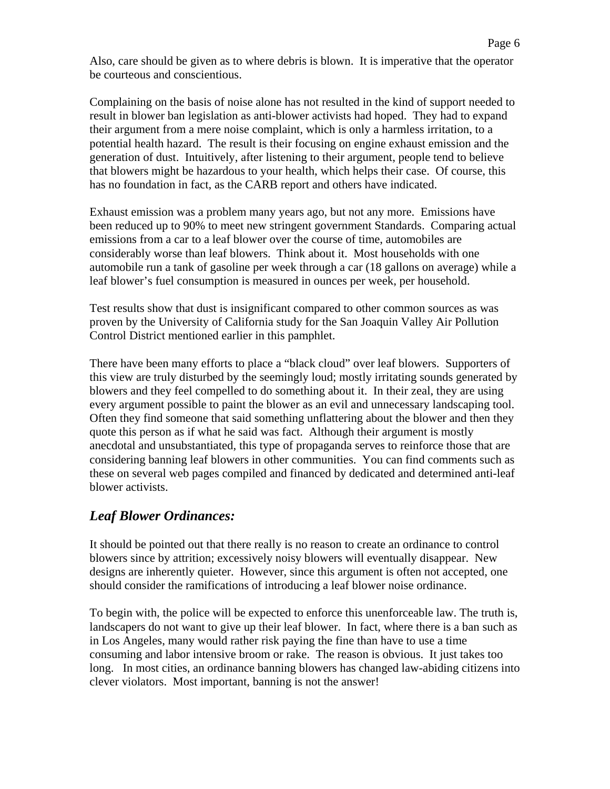Also, care should be given as to where debris is blown. It is imperative that the operator be courteous and conscientious.

Complaining on the basis of noise alone has not resulted in the kind of support needed to result in blower ban legislation as anti-blower activists had hoped. They had to expand their argument from a mere noise complaint, which is only a harmless irritation, to a potential health hazard. The result is their focusing on engine exhaust emission and the generation of dust. Intuitively, after listening to their argument, people tend to believe that blowers might be hazardous to your health, which helps their case. Of course, this has no foundation in fact, as the CARB report and others have indicated.

Exhaust emission was a problem many years ago, but not any more. Emissions have been reduced up to 90% to meet new stringent government Standards. Comparing actual emissions from a car to a leaf blower over the course of time, automobiles are considerably worse than leaf blowers. Think about it. Most households with one automobile run a tank of gasoline per week through a car (18 gallons on average) while a leaf blower's fuel consumption is measured in ounces per week, per household.

Test results show that dust is insignificant compared to other common sources as was proven by the University of California study for the San Joaquin Valley Air Pollution Control District mentioned earlier in this pamphlet.

There have been many efforts to place a "black cloud" over leaf blowers. Supporters of this view are truly disturbed by the seemingly loud; mostly irritating sounds generated by blowers and they feel compelled to do something about it. In their zeal, they are using every argument possible to paint the blower as an evil and unnecessary landscaping tool. Often they find someone that said something unflattering about the blower and then they quote this person as if what he said was fact. Although their argument is mostly anecdotal and unsubstantiated, this type of propaganda serves to reinforce those that are considering banning leaf blowers in other communities. You can find comments such as these on several web pages compiled and financed by dedicated and determined anti-leaf blower activists.

### *Leaf Blower Ordinances:*

It should be pointed out that there really is no reason to create an ordinance to control blowers since by attrition; excessively noisy blowers will eventually disappear. New designs are inherently quieter. However, since this argument is often not accepted, one should consider the ramifications of introducing a leaf blower noise ordinance.

To begin with, the police will be expected to enforce this unenforceable law. The truth is, landscapers do not want to give up their leaf blower. In fact, where there is a ban such as in Los Angeles, many would rather risk paying the fine than have to use a time consuming and labor intensive broom or rake. The reason is obvious. It just takes too long. In most cities, an ordinance banning blowers has changed law-abiding citizens into clever violators. Most important, banning is not the answer!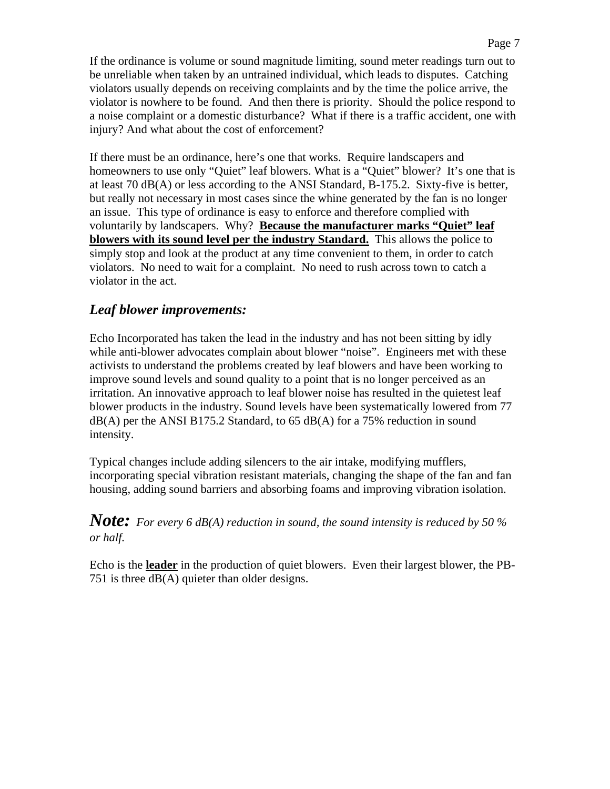If the ordinance is volume or sound magnitude limiting, sound meter readings turn out to be unreliable when taken by an untrained individual, which leads to disputes. Catching violators usually depends on receiving complaints and by the time the police arrive, the violator is nowhere to be found. And then there is priority. Should the police respond to a noise complaint or a domestic disturbance? What if there is a traffic accident, one with injury? And what about the cost of enforcement?

If there must be an ordinance, here's one that works. Require landscapers and homeowners to use only "Quiet" leaf blowers. What is a "Quiet" blower? It's one that is at least 70 dB(A) or less according to the ANSI Standard, B-175.2. Sixty-five is better, but really not necessary in most cases since the whine generated by the fan is no longer an issue. This type of ordinance is easy to enforce and therefore complied with voluntarily by landscapers. Why? **Because the manufacturer marks "Quiet" leaf blowers with its sound level per the industry Standard.** This allows the police to simply stop and look at the product at any time convenient to them, in order to catch violators. No need to wait for a complaint. No need to rush across town to catch a violator in the act.

#### *Leaf blower improvements:*

Echo Incorporated has taken the lead in the industry and has not been sitting by idly while anti-blower advocates complain about blower "noise". Engineers met with these activists to understand the problems created by leaf blowers and have been working to improve sound levels and sound quality to a point that is no longer perceived as an irritation. An innovative approach to leaf blower noise has resulted in the quietest leaf blower products in the industry. Sound levels have been systematically lowered from 77  $dB(A)$  per the ANSI B175.2 Standard, to 65 dB(A) for a 75% reduction in sound intensity.

Typical changes include adding silencers to the air intake, modifying mufflers, incorporating special vibration resistant materials, changing the shape of the fan and fan housing, adding sound barriers and absorbing foams and improving vibration isolation.

#### *Note: For every 6 dB(A) reduction in sound, the sound intensity is reduced by 50 % or half.*

Echo is the **leader** in the production of quiet blowers. Even their largest blower, the PB-751 is three dB(A) quieter than older designs.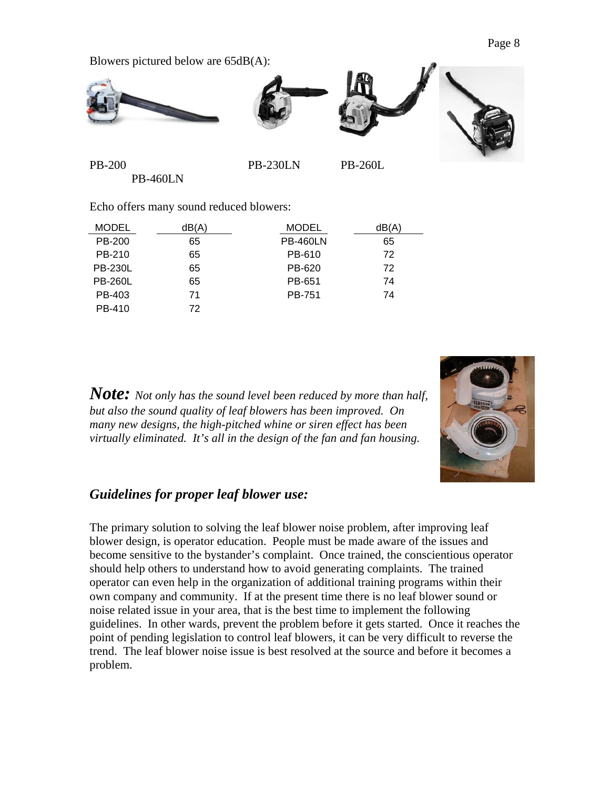Blowers pictured below are 65dB(A):



PB-200 PB-230LN PB-260L PB-460LN

Echo offers many sound reduced blowers:

| <b>MODEL</b>   | dB(A) | <b>MODEL</b>    | dB(A) |
|----------------|-------|-----------------|-------|
| PB-200         | 65    | <b>PB-460LN</b> | 65    |
| PB-210         | 65    | PB-610          | 72    |
| <b>PB-230L</b> | 65    | PB-620          | 72    |
| <b>PB-260L</b> | 65    | PB-651          | 74    |
| PB-403         | 71    | PB-751          | 74    |
| PB-410         | 72    |                 |       |

*Note: Not only has the sound level been reduced by more than half, but also the sound quality of leaf blowers has been improved. On many new designs, the high-pitched whine or siren effect has been virtually eliminated. It's all in the design of the fan and fan housing.* 



#### *Guidelines for proper leaf blower use:*

The primary solution to solving the leaf blower noise problem, after improving leaf blower design, is operator education. People must be made aware of the issues and become sensitive to the bystander's complaint. Once trained, the conscientious operator should help others to understand how to avoid generating complaints. The trained operator can even help in the organization of additional training programs within their own company and community. If at the present time there is no leaf blower sound or noise related issue in your area, that is the best time to implement the following guidelines. In other wards, prevent the problem before it gets started. Once it reaches the point of pending legislation to control leaf blowers, it can be very difficult to reverse the trend. The leaf blower noise issue is best resolved at the source and before it becomes a problem.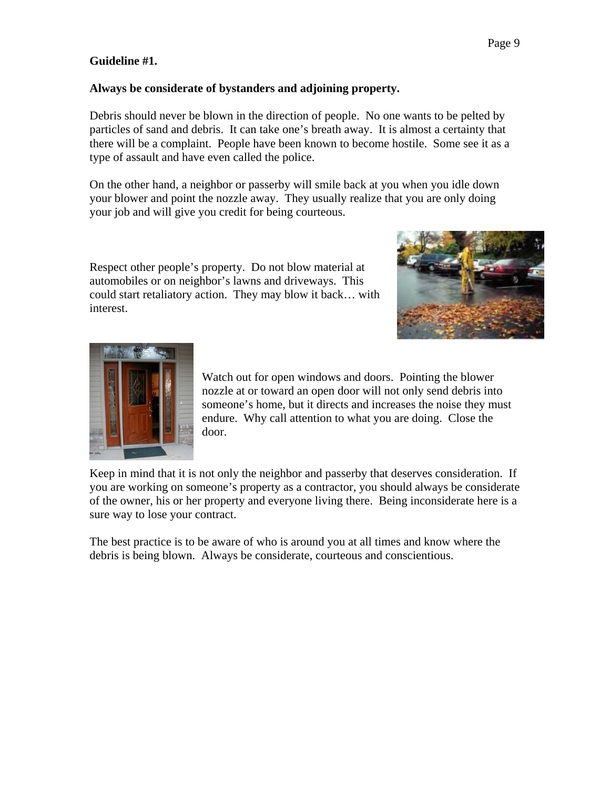#### **Guideline #1.**

#### **Always be considerate of bystanders and adjoining property.**

Debris should never be blown in the direction of people. No one wants to be pelted by particles of sand and debris. It can take one's breath away. It is almost a certainty that there will be a complaint. People have been known to become hostile. Some see it as a type of assault and have even called the police.

On the other hand, a neighbor or passerby will smile back at you when you idle down your blower and point the nozzle away. They usually realize that you are only doing your job and will give you credit for being courteous.

Respect other people's property. Do not blow material at automobiles or on neighbor's lawns and driveways. This could start retaliatory action. They may blow it back… with interest.





Watch out for open windows and doors. Pointing the blower someone's home, but it directs and increases the noise they must nozzle at or toward an open door will not only send debris into endure. Why call attention to what you are doing. Close the door.

Keep in mind that it is not only the neighbor and passerby that deserves consideration. If you are working on someone's property as a contractor, you should always be considerate of the owner, his or her property and everyone living there. Being inconsiderate here is a sure way to lose your contract.

The best practice is to be aware of who is around you at all times and know where the debris is being blown. Always be considerate, courteous and conscientious.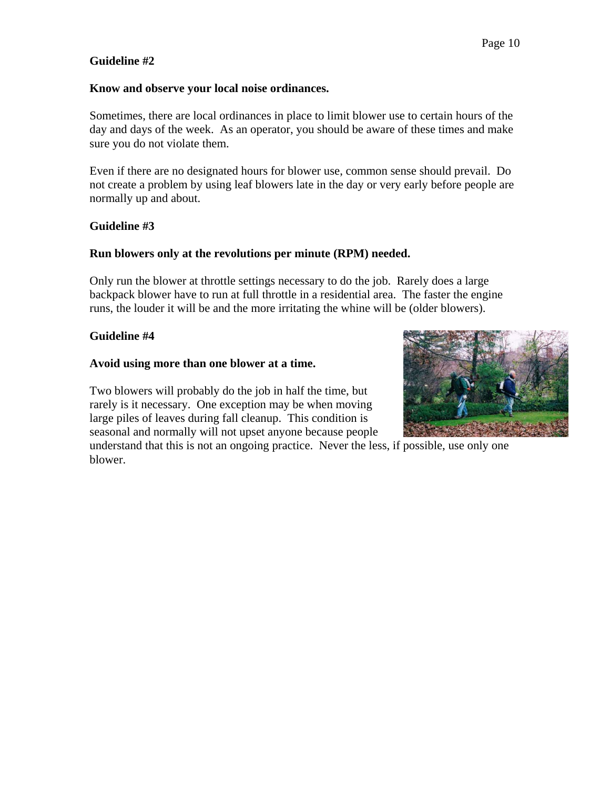#### **Guideline #2**

#### **Know and observe your local noise ordinances.**

Sometimes, there are local ordinances in place to limit blower use to certain hours of the day and days of the week. As an operator, you should be aware of these times and make sure you do not violate them.

Even if there are no designated hours for blower use, common sense should prevail. Do not create a problem by using leaf blowers late in the day or very early before people are normally up and about.

#### **Guideline #3**

#### **Run blowers only at the revolutions per minute (RPM) needed.**

Only run the blower at throttle settings necessary to do the job. Rarely does a large backpack blower have to run at full throttle in a residential area. The faster the engine runs, the louder it will be and the more irritating the whine will be (older blowers).

#### **Guideline #4**

#### **Avoid using more than one blower at a time.**

Two blowers will probably do the job in half the time, but rarely is it necessary. One exception may be when moving large piles of leaves during fall cleanup. This condition is seasonal and normally will not upset anyone because people

understand that this is not an ongoing practice. Never the less, if possible, use only one blower.

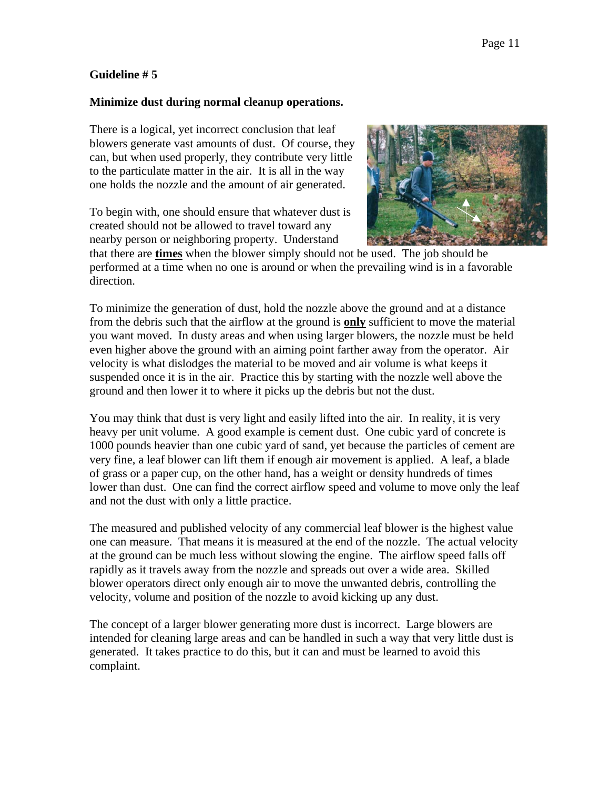#### **Guideline # 5**

#### **Minimize dust during normal cleanup operations.**

There is a logical, yet incorrect conclusion that leaf blowers generate vast amounts of dust. Of course, they can, but when used properly, they contribute very little to the particulate matter in the air. It is all in the way one holds the nozzle and the amount of air generated.

To begin with, one should ensure that whatever dust is created should not be allowed to travel toward any nearby person or neighboring property. Understand



that there are **times** when the blower simply should not be used. The job should be performed at a time when no one is around or when the prevailing wind is in a favorable direction.

To minimize the generation of dust, hold the nozzle above the ground and at a distance from the debris such that the airflow at the ground is **only** sufficient to move the material you want moved. In dusty areas and when using larger blowers, the nozzle must be held even higher above the ground with an aiming point farther away from the operator. Air velocity is what dislodges the material to be moved and air volume is what keeps it suspended once it is in the air. Practice this by starting with the nozzle well above the ground and then lower it to where it picks up the debris but not the dust.

You may think that dust is very light and easily lifted into the air. In reality, it is very heavy per unit volume. A good example is cement dust. One cubic yard of concrete is 1000 pounds heavier than one cubic yard of sand, yet because the particles of cement are very fine, a leaf blower can lift them if enough air movement is applied. A leaf, a blade of grass or a paper cup, on the other hand, has a weight or density hundreds of times lower than dust. One can find the correct airflow speed and volume to move only the leaf and not the dust with only a little practice.

The measured and published velocity of any commercial leaf blower is the highest value one can measure. That means it is measured at the end of the nozzle. The actual velocity at the ground can be much less without slowing the engine. The airflow speed falls off rapidly as it travels away from the nozzle and spreads out over a wide area. Skilled blower operators direct only enough air to move the unwanted debris, controlling the velocity, volume and position of the nozzle to avoid kicking up any dust.

The concept of a larger blower generating more dust is incorrect. Large blowers are intended for cleaning large areas and can be handled in such a way that very little dust is generated. It takes practice to do this, but it can and must be learned to avoid this complaint.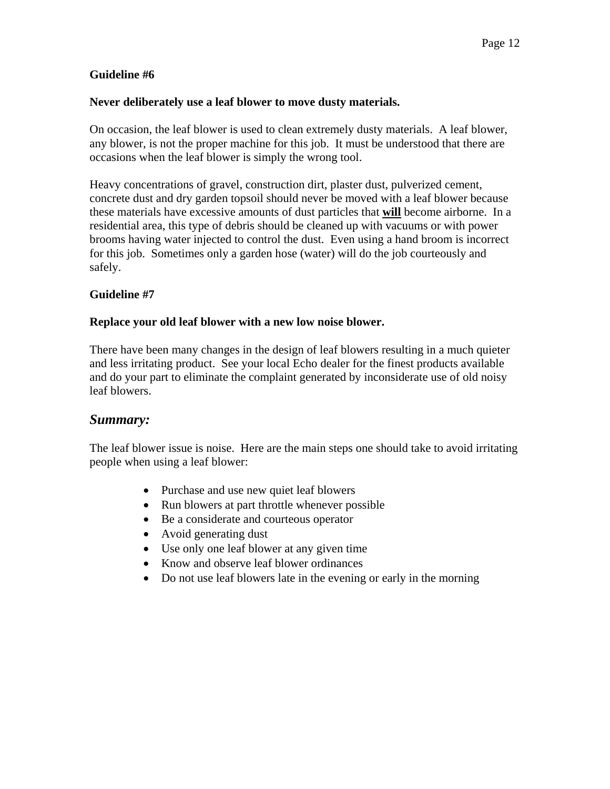#### **Guideline #6**

#### **Never deliberately use a leaf blower to move dusty materials.**

On occasion, the leaf blower is used to clean extremely dusty materials. A leaf blower, any blower, is not the proper machine for this job. It must be understood that there are occasions when the leaf blower is simply the wrong tool.

Heavy concentrations of gravel, construction dirt, plaster dust, pulverized cement, concrete dust and dry garden topsoil should never be moved with a leaf blower because these materials have excessive amounts of dust particles that **will** become airborne. In a residential area, this type of debris should be cleaned up with vacuums or with power brooms having water injected to control the dust. Even using a hand broom is incorrect for this job. Sometimes only a garden hose (water) will do the job courteously and safely.

#### **Guideline #7**

#### **Replace your old leaf blower with a new low noise blower.**

There have been many changes in the design of leaf blowers resulting in a much quieter and less irritating product. See your local Echo dealer for the finest products available and do your part to eliminate the complaint generated by inconsiderate use of old noisy leaf blowers.

#### *Summary:*

The leaf blower issue is noise. Here are the main steps one should take to avoid irritating people when using a leaf blower:

- Purchase and use new quiet leaf blowers
- Run blowers at part throttle whenever possible
- Be a considerate and courteous operator
- Avoid generating dust
- Use only one leaf blower at any given time
- Know and observe leaf blower ordinances
- Do not use leaf blowers late in the evening or early in the morning